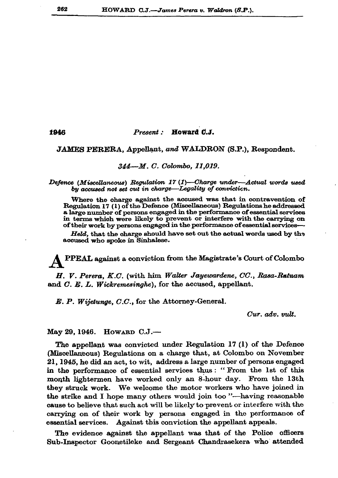Present: Howard C.J.

## JAMES PERERA, Appellant, and WALDRON (S.P.), Respondent.

## 344—M. C. Colombo. 11.019.

Defence (Miscellaneous) Regulation 17  $(1)$ —Charge under—Actual words used by accused not set cut in charge—Legality of conviction.

Where the charge against the accused was that in contravention of Regulation 17 (1) of the Defence (Miscellaneous) Regulations he addressed a large number of persons engaged in the performance of essential services in terms which were likely to prevent or interfere with the carrying on of their work by persons engaged in the performance of essential services-

Held, that the charge should have set out the actual words used by the accused who spoke in Sinhalese.

PPEAL against a conviction from the Magistrate's Court of Colombo

H. V. Perera, K.C. (with him Walter Jayewardene, CC., Rasa-Ratnam and C. E. L. Wickremesinghe), for the accused, appellant.

E. P. Wijetunge, C.C., for the Attorney-General.

 $Cur.$   $adv.$   $mlt.$ 

May 29, 1946. HOWARD C.J.-

The appellant was convicted under Regulation 17 (1) of the Defence (Miscellaneous) Regulations on a charge that, at Colombo on November 21, 1945, he did an act, to wit, address a large number of persons engaged in the performance of essential services thus: "From the 1st of this month lightermen have worked only an 8-hour day. From the 13th they struck work. We welcome the motor workers who have joined in the strike and I hope many others would join too "-having reasonable cause to believe that such act will be likely to prevent or interfere with the carrying on of their work by persons engaged in the performance of essential services. Against this conviction the appellant appeals.

The evidence against the appellant was that of the Police officers Sub-Inspector Goonetileke and Sergeant Chandrasekera who attended

1946